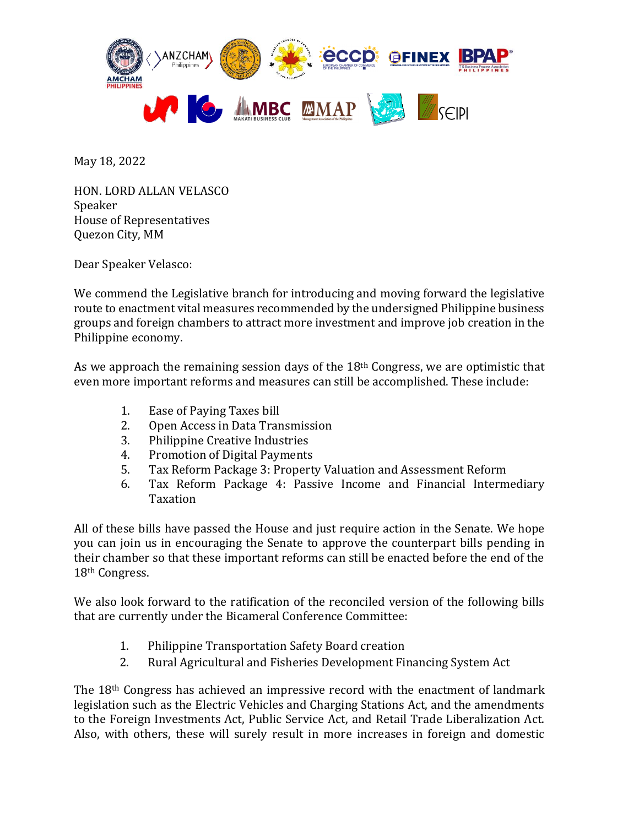

May 18, 2022

HON. LORD ALLAN VELASCO Speaker House of Representatives Quezon City, MM

Dear Speaker Velasco:

We commend the Legislative branch for introducing and moving forward the legislative route to enactment vital measures recommended by the undersigned Philippine business groups and foreign chambers to attract more investment and improve job creation in the Philippine economy.

As we approach the remaining session days of the 18<sup>th</sup> Congress, we are optimistic that even more important reforms and measures can still be accomplished. These include:

- 1. Ease of Paying Taxes bill
- 2. Open Access in Data Transmission
- 3. Philippine Creative Industries
- 4. Promotion of Digital Payments
- 5. Tax Reform Package 3: Property Valuation and Assessment Reform
- 6. Tax Reform Package 4: Passive Income and Financial Intermediary Taxation

All of these bills have passed the House and just require action in the Senate. We hope you can join us in encouraging the Senate to approve the counterpart bills pending in their chamber so that these important reforms can still be enacted before the end of the 18th Congress.

We also look forward to the ratification of the reconciled version of the following bills that are currently under the Bicameral Conference Committee:

- 1. Philippine Transportation Safety Board creation
- 2. Rural Agricultural and Fisheries Development Financing System Act

The 18th Congress has achieved an impressive record with the enactment of landmark legislation such as the Electric Vehicles and Charging Stations Act, and the amendments to the Foreign Investments Act, Public Service Act, and Retail Trade Liberalization Act. Also, with others, these will surely result in more increases in foreign and domestic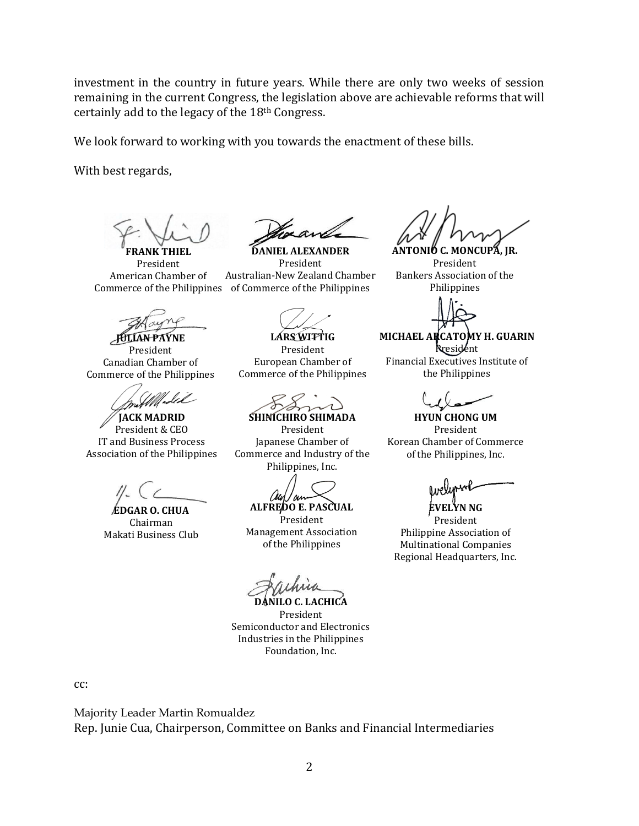investment in the country in future years. While there are only two weeks of session remaining in the current Congress, the legislation above are achievable reforms that will certainly add to the legacy of the 18th Congress.

We look forward to working with you towards the enactment of these bills.

With best regards,

**FRANK THIEL** President American Chamber of

**JULIAN PAYNE**

President Canadian Chamber of Commerce of the Philippines

**JACK MADRID** President & CEO IT and Business Process Association of the Philippines

**EDGAR O. CHUA** Chairman Makati Business Club

**DANIEL ALEXANDER** President Australian-New Zealand Chamber Commerce of the Philippines of Commerce of the Philippines

**LARS WITTIG** President European Chamber of Commerce of the Philippines

**SHINICHIRO SHIMADA**

President Japanese Chamber of Commerce and Industry of the Philippines, Inc.

'ou

**ALFREDO E. PASCUAL** President

Management Association of the Philippines

**DANILO C. LACHICA** President Semiconductor and Electronics Industries in the Philippines Foundation, Inc.

**ANTONIO C. MONCUPA, JR.**

President Bankers Association of the Philippines

**MICHAEL ARCATOMY H. GUARIN** President

Financial Executives Institute of the Philippines

**HYUN CHONG UM** President Korean Chamber of Commerce of the Philippines, Inc.

**EVELYN NG**

President Philippine Association of Multinational Companies Regional Headquarters, Inc.

cc:

Majority Leader Martin Romualdez Rep. Junie Cua, Chairperson, Committee on Banks and Financial Intermediaries